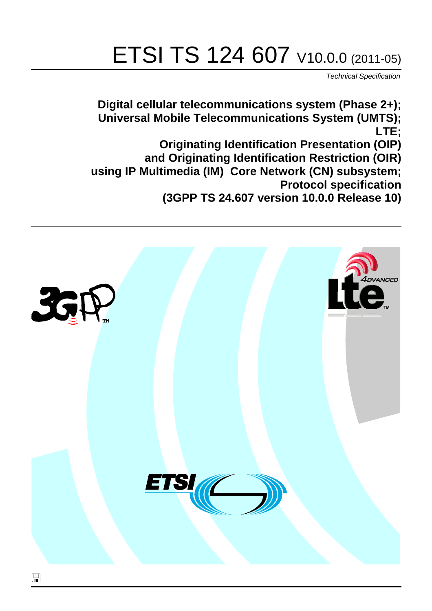# ETSI TS 124 607 V10.0.0 (2011-05)

*Technical Specification*

**Digital cellular telecommunications system (Phase 2+); Universal Mobile Telecommunications System (UMTS); LTE; Originating Identification Presentation (OIP) and Originating Identification Restriction (OIR) using IP Multimedia (IM) Core Network (CN) subsystem; Protocol specification (3GPP TS 24.607 version 10.0.0 Release 10)**

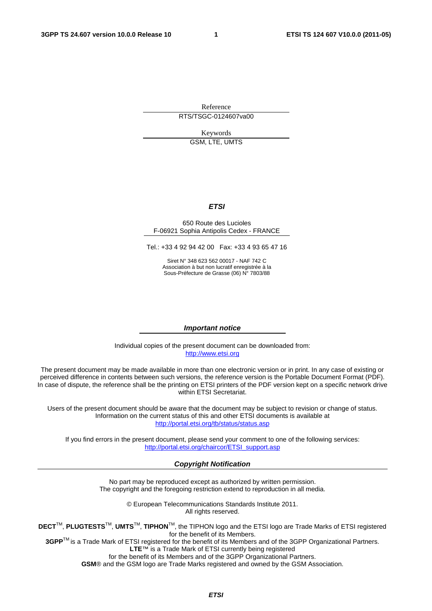Reference

RTS/TSGC-0124607va00

Keywords GSM, LTE, UMTS

#### *ETSI*

#### 650 Route des Lucioles F-06921 Sophia Antipolis Cedex - FRANCE

Tel.: +33 4 92 94 42 00 Fax: +33 4 93 65 47 16

Siret N° 348 623 562 00017 - NAF 742 C Association à but non lucratif enregistrée à la Sous-Préfecture de Grasse (06) N° 7803/88

#### *Important notice*

Individual copies of the present document can be downloaded from: [http://www.etsi.org](http://www.etsi.org/)

The present document may be made available in more than one electronic version or in print. In any case of existing or perceived difference in contents between such versions, the reference version is the Portable Document Format (PDF). In case of dispute, the reference shall be the printing on ETSI printers of the PDF version kept on a specific network drive within ETSI Secretariat.

Users of the present document should be aware that the document may be subject to revision or change of status. Information on the current status of this and other ETSI documents is available at <http://portal.etsi.org/tb/status/status.asp>

If you find errors in the present document, please send your comment to one of the following services: [http://portal.etsi.org/chaircor/ETSI\\_support.asp](http://portal.etsi.org/chaircor/ETSI_support.asp)

#### *Copyright Notification*

No part may be reproduced except as authorized by written permission. The copyright and the foregoing restriction extend to reproduction in all media.

> © European Telecommunications Standards Institute 2011. All rights reserved.

**DECT**TM, **PLUGTESTS**TM, **UMTS**TM, **TIPHON**TM, the TIPHON logo and the ETSI logo are Trade Marks of ETSI registered for the benefit of its Members.

**3GPP**TM is a Trade Mark of ETSI registered for the benefit of its Members and of the 3GPP Organizational Partners. **LTE**™ is a Trade Mark of ETSI currently being registered

for the benefit of its Members and of the 3GPP Organizational Partners.

**GSM**® and the GSM logo are Trade Marks registered and owned by the GSM Association.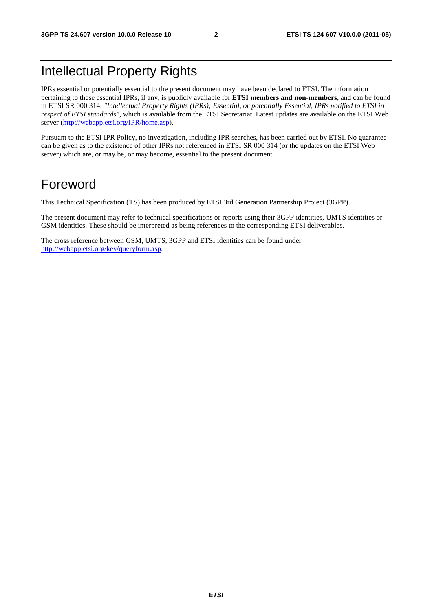### Intellectual Property Rights

IPRs essential or potentially essential to the present document may have been declared to ETSI. The information pertaining to these essential IPRs, if any, is publicly available for **ETSI members and non-members**, and can be found in ETSI SR 000 314: *"Intellectual Property Rights (IPRs); Essential, or potentially Essential, IPRs notified to ETSI in respect of ETSI standards"*, which is available from the ETSI Secretariat. Latest updates are available on the ETSI Web server ([http://webapp.etsi.org/IPR/home.asp\)](http://webapp.etsi.org/IPR/home.asp).

Pursuant to the ETSI IPR Policy, no investigation, including IPR searches, has been carried out by ETSI. No guarantee can be given as to the existence of other IPRs not referenced in ETSI SR 000 314 (or the updates on the ETSI Web server) which are, or may be, or may become, essential to the present document.

### Foreword

This Technical Specification (TS) has been produced by ETSI 3rd Generation Partnership Project (3GPP).

The present document may refer to technical specifications or reports using their 3GPP identities, UMTS identities or GSM identities. These should be interpreted as being references to the corresponding ETSI deliverables.

The cross reference between GSM, UMTS, 3GPP and ETSI identities can be found under [http://webapp.etsi.org/key/queryform.asp.](http://webapp.etsi.org/key/queryform.asp)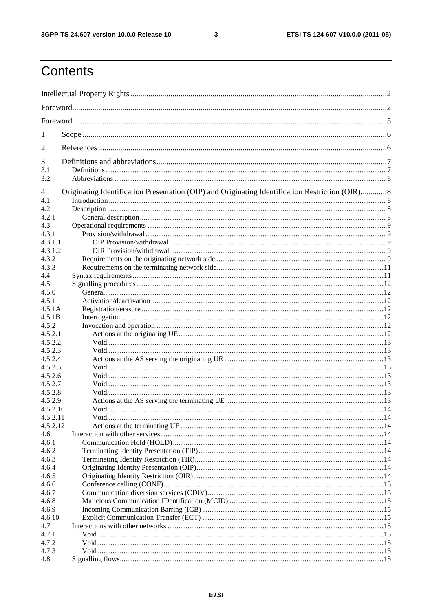$\mathbf{3}$ 

### Contents

| 1                                                                                                    |  |  |  |  |
|------------------------------------------------------------------------------------------------------|--|--|--|--|
| 2                                                                                                    |  |  |  |  |
| 3                                                                                                    |  |  |  |  |
| 3.1                                                                                                  |  |  |  |  |
| 3.2                                                                                                  |  |  |  |  |
| Originating Identification Presentation (OIP) and Originating Identification Restriction (OIR)8<br>4 |  |  |  |  |
| 4.1                                                                                                  |  |  |  |  |
| 4.2                                                                                                  |  |  |  |  |
| 4.2.1                                                                                                |  |  |  |  |
| 4.3                                                                                                  |  |  |  |  |
| 4.3.1                                                                                                |  |  |  |  |
| 4.3.1.1                                                                                              |  |  |  |  |
| 4.3.1.2                                                                                              |  |  |  |  |
| 4.3.2                                                                                                |  |  |  |  |
| 4.3.3                                                                                                |  |  |  |  |
| 4.4                                                                                                  |  |  |  |  |
| 4.5                                                                                                  |  |  |  |  |
| 4.5.0                                                                                                |  |  |  |  |
| 4.5.1                                                                                                |  |  |  |  |
| 4.5.1A                                                                                               |  |  |  |  |
| 4.5.1B                                                                                               |  |  |  |  |
| 4.5.2                                                                                                |  |  |  |  |
| 4.5.2.1<br>4.5.2.2                                                                                   |  |  |  |  |
| 4.5.2.3                                                                                              |  |  |  |  |
| 4.5.2.4                                                                                              |  |  |  |  |
| 4.5.2.5                                                                                              |  |  |  |  |
| 4.5.2.6                                                                                              |  |  |  |  |
| 4.5.2.7                                                                                              |  |  |  |  |
| 4.5.2.8                                                                                              |  |  |  |  |
| 4.5.2.9                                                                                              |  |  |  |  |
| 4.5.2.10                                                                                             |  |  |  |  |
| 4.5.2.11                                                                                             |  |  |  |  |
| 4.5.2.12                                                                                             |  |  |  |  |
| 4.6                                                                                                  |  |  |  |  |
| 4.6.1                                                                                                |  |  |  |  |
| 4.6.2                                                                                                |  |  |  |  |
| 4.6.3                                                                                                |  |  |  |  |
| 4.6.4                                                                                                |  |  |  |  |
| 4.6.5                                                                                                |  |  |  |  |
| 4.6.6                                                                                                |  |  |  |  |
| 4.6.7                                                                                                |  |  |  |  |
| 4.6.8                                                                                                |  |  |  |  |
| 4.6.9                                                                                                |  |  |  |  |
| 4.6.10                                                                                               |  |  |  |  |
| 4.7                                                                                                  |  |  |  |  |
| 4.7.1                                                                                                |  |  |  |  |
| 4.7.2                                                                                                |  |  |  |  |
| 4.7.3                                                                                                |  |  |  |  |
| 4.8                                                                                                  |  |  |  |  |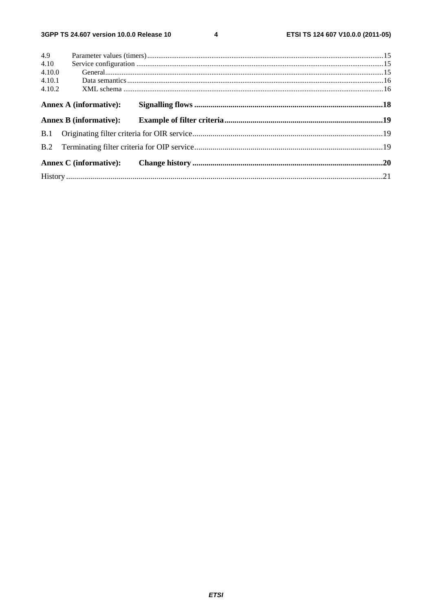$\overline{\mathbf{4}}$ 

| 4.9    |                               |  |
|--------|-------------------------------|--|
| 4.10   |                               |  |
| 4.10.0 |                               |  |
| 4.10.1 |                               |  |
| 4.10.2 |                               |  |
|        | <b>Annex A (informative):</b> |  |
|        |                               |  |
|        |                               |  |
|        |                               |  |
|        |                               |  |
|        |                               |  |
|        |                               |  |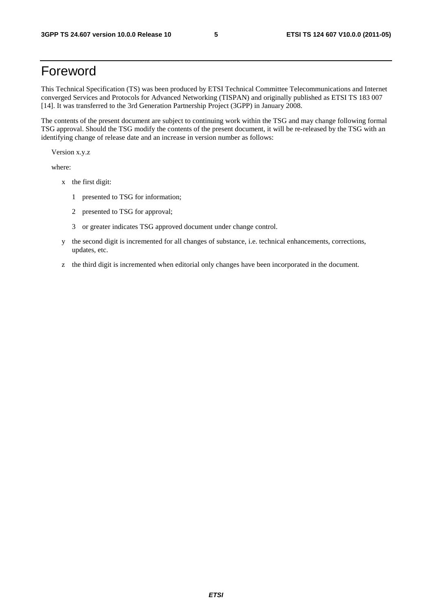### Foreword

This Technical Specification (TS) was been produced by ETSI Technical Committee Telecommunications and Internet converged Services and Protocols for Advanced Networking (TISPAN) and originally published as ETSI TS 183 007 [14]. It was transferred to the 3rd Generation Partnership Project (3GPP) in January 2008.

The contents of the present document are subject to continuing work within the TSG and may change following formal TSG approval. Should the TSG modify the contents of the present document, it will be re-released by the TSG with an identifying change of release date and an increase in version number as follows:

Version x.y.z

where:

- x the first digit:
	- 1 presented to TSG for information;
	- 2 presented to TSG for approval;
	- 3 or greater indicates TSG approved document under change control.
- y the second digit is incremented for all changes of substance, i.e. technical enhancements, corrections, updates, etc.
- z the third digit is incremented when editorial only changes have been incorporated in the document.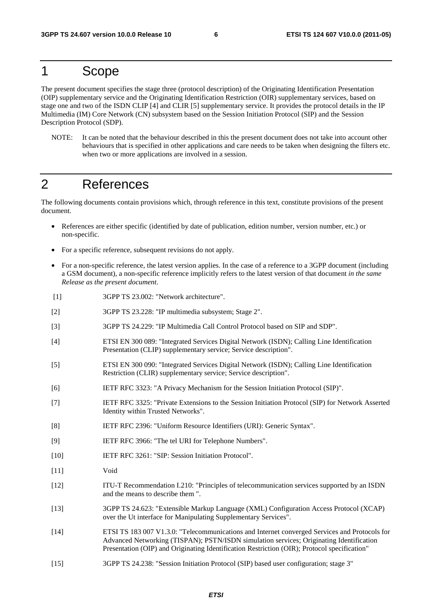### 1 Scope

The present document specifies the stage three (protocol description) of the Originating Identification Presentation (OIP) supplementary service and the Originating Identification Restriction (OIR) supplementary services, based on stage one and two of the ISDN CLIP [4] and CLIR [5] supplementary service. It provides the protocol details in the IP Multimedia (IM) Core Network (CN) subsystem based on the Session Initiation Protocol (SIP) and the Session Description Protocol (SDP).

NOTE: It can be noted that the behaviour described in this the present document does not take into account other behaviours that is specified in other applications and care needs to be taken when designing the filters etc. when two or more applications are involved in a session.

### 2 References

The following documents contain provisions which, through reference in this text, constitute provisions of the present document.

- References are either specific (identified by date of publication, edition number, version number, etc.) or non-specific.
- For a specific reference, subsequent revisions do not apply.
- For a non-specific reference, the latest version applies. In the case of a reference to a 3GPP document (including a GSM document), a non-specific reference implicitly refers to the latest version of that document *in the same Release as the present document*.
- [1] 3GPP TS 23.002: "Network architecture".
- [2] 3GPP TS 23.228: "IP multimedia subsystem; Stage 2".
- [3] 3GPP TS 24.229: "IP Multimedia Call Control Protocol based on SIP and SDP".
- [4] ETSI EN 300 089: "Integrated Services Digital Network (ISDN); Calling Line Identification Presentation (CLIP) supplementary service; Service description".
- [5] ETSI EN 300 090: "Integrated Services Digital Network (ISDN); Calling Line Identification Restriction (CLIR) supplementary service; Service description".
- [6] IETF RFC 3323: "A Privacy Mechanism for the Session Initiation Protocol (SIP)".
- [7] IETF RFC 3325: "Private Extensions to the Session Initiation Protocol (SIP) for Network Asserted Identity within Trusted Networks".
- [8] IETF RFC 2396: "Uniform Resource Identifiers (URI): Generic Syntax".
- [9] IETF RFC 3966: "The tel URI for Telephone Numbers".
- [10] IETF RFC 3261: "SIP: Session Initiation Protocol".
- [11] Void
- [12] ITU-T Recommendation I.210: "Principles of telecommunication services supported by an ISDN and the means to describe them ".
- [13] 3GPP TS 24.623: "Extensible Markup Language (XML) Configuration Access Protocol (XCAP) over the Ut interface for Manipulating Supplementary Services".
- [14] ETSI TS 183 007 V1.3.0: "Telecommunications and Internet converged Services and Protocols for Advanced Networking (TISPAN); PSTN/ISDN simulation services; Originating Identification Presentation (OIP) and Originating Identification Restriction (OIR); Protocol specification"
- [15] 3GPP TS 24.238: "Session Initiation Protocol (SIP) based user configuration; stage 3"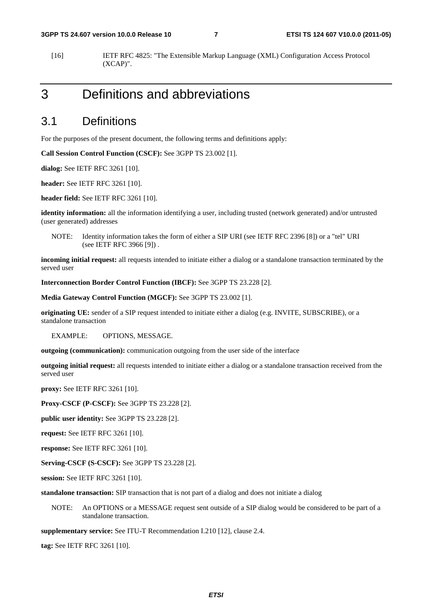[16] IETF RFC 4825: "The Extensible Markup Language (XML) Configuration Access Protocol (XCAP)".

### 3 Definitions and abbreviations

#### 3.1 Definitions

For the purposes of the present document, the following terms and definitions apply:

**Call Session Control Function (CSCF):** See 3GPP TS 23.002 [1].

**dialog:** See IETF RFC 3261 [10].

**header:** See IETF RFC 3261 [10].

**header field:** See IETF RFC 3261 [10].

**identity information:** all the information identifying a user, including trusted (network generated) and/or untrusted (user generated) addresses

NOTE: Identity information takes the form of either a SIP URI (see IETF RFC 2396 [8]) or a "tel" URI (see IETF RFC 3966 [9]) .

**incoming initial request:** all requests intended to initiate either a dialog or a standalone transaction terminated by the served user

**Interconnection Border Control Function (IBCF):** See 3GPP TS 23.228 [2].

**Media Gateway Control Function (MGCF):** See 3GPP TS 23.002 [1].

**originating UE:** sender of a SIP request intended to initiate either a dialog (e.g. INVITE, SUBSCRIBE), or a standalone transaction

EXAMPLE: OPTIONS, MESSAGE.

**outgoing (communication):** communication outgoing from the user side of the interface

**outgoing initial request:** all requests intended to initiate either a dialog or a standalone transaction received from the served user

**proxy:** See IETF RFC 3261 [10].

**Proxy-CSCF (P-CSCF):** See 3GPP TS 23.228 [2].

**public user identity:** See 3GPP TS 23.228 [2].

**request:** See IETF RFC 3261 [10].

**response:** See IETF RFC 3261 [10].

**Serving-CSCF (S-CSCF):** See 3GPP TS 23.228 [2].

**session:** See IETF RFC 3261 [10].

**standalone transaction:** SIP transaction that is not part of a dialog and does not initiate a dialog

NOTE: An OPTIONS or a MESSAGE request sent outside of a SIP dialog would be considered to be part of a standalone transaction.

**supplementary service:** See ITU-T Recommendation I.210 [12], clause 2.4.

**tag:** See IETF RFC 3261 [10].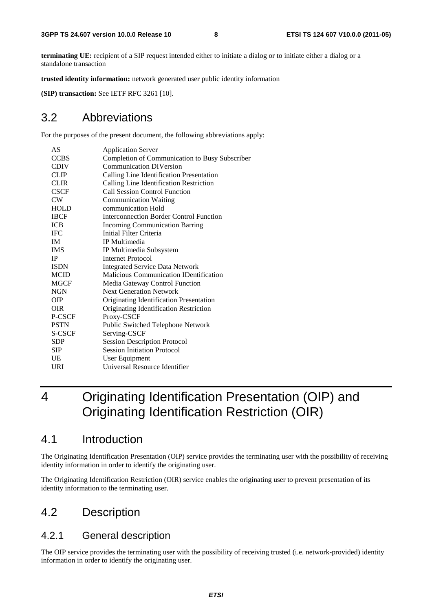**terminating UE:** recipient of a SIP request intended either to initiate a dialog or to initiate either a dialog or a standalone transaction

**trusted identity information:** network generated user public identity information

**(SIP) transaction:** See IETF RFC 3261 [10].

### 3.2 Abbreviations

For the purposes of the present document, the following abbreviations apply:

| AS          | <b>Application Server</b>                      |
|-------------|------------------------------------------------|
| <b>CCBS</b> | Completion of Communication to Busy Subscriber |
| <b>CDIV</b> | <b>Communication DIVersion</b>                 |
| <b>CLIP</b> | Calling Line Identification Presentation       |
| <b>CLIR</b> | Calling Line Identification Restriction        |
| <b>CSCF</b> | <b>Call Session Control Function</b>           |
| CW          | <b>Communication Waiting</b>                   |
| <b>HOLD</b> | communication Hold                             |
| <b>IBCF</b> | Interconnection Border Control Function        |
| ICB         | <b>Incoming Communication Barring</b>          |
| <b>IFC</b>  | Initial Filter Criteria                        |
| IM.         | IP Multimedia                                  |
| <b>IMS</b>  | IP Multimedia Subsystem                        |
| IP.         | Internet Protocol                              |
| <b>ISDN</b> | <b>Integrated Service Data Network</b>         |
| <b>MCID</b> | <b>Malicious Communication IDentification</b>  |
| MGCF        | Media Gateway Control Function                 |
| NGN         | <b>Next Generation Network</b>                 |
| <b>OIP</b>  | Originating Identification Presentation        |
| <b>OIR</b>  | Originating Identification Restriction         |
| P-CSCF      | Proxy-CSCF                                     |
| <b>PSTN</b> | Public Switched Telephone Network              |
| S-CSCF      | Serving-CSCF                                   |
| <b>SDP</b>  | <b>Session Description Protocol</b>            |
| <b>SIP</b>  | <b>Session Initiation Protocol</b>             |
| UE          | User Equipment                                 |
| URI         | Universal Resource Identifier                  |
|             |                                                |

### 4 Originating Identification Presentation (OIP) and Originating Identification Restriction (OIR)

### 4.1 Introduction

The Originating Identification Presentation (OIP) service provides the terminating user with the possibility of receiving identity information in order to identify the originating user.

The Originating Identification Restriction (OIR) service enables the originating user to prevent presentation of its identity information to the terminating user.

### 4.2 Description

#### 4.2.1 General description

The OIP service provides the terminating user with the possibility of receiving trusted (i.e. network-provided) identity information in order to identify the originating user.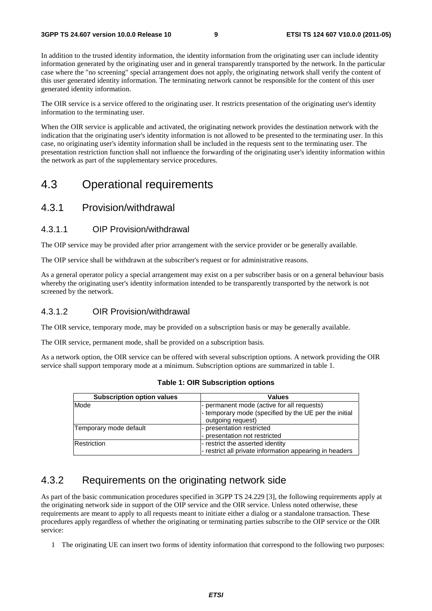In addition to the trusted identity information, the identity information from the originating user can include identity information generated by the originating user and in general transparently transported by the network. In the particular case where the "no screening" special arrangement does not apply, the originating network shall verify the content of this user generated identity information. The terminating network cannot be responsible for the content of this user generated identity information.

The OIR service is a service offered to the originating user. It restricts presentation of the originating user's identity information to the terminating user.

When the OIR service is applicable and activated, the originating network provides the destination network with the indication that the originating user's identity information is not allowed to be presented to the terminating user. In this case, no originating user's identity information shall be included in the requests sent to the terminating user. The presentation restriction function shall not influence the forwarding of the originating user's identity information within the network as part of the supplementary service procedures.

### 4.3 Operational requirements

#### 4.3.1 Provision/withdrawal

#### 4.3.1.1 OIP Provision/withdrawal

The OIP service may be provided after prior arrangement with the service provider or be generally available.

The OIP service shall be withdrawn at the subscriber's request or for administrative reasons.

As a general operator policy a special arrangement may exist on a per subscriber basis or on a general behaviour basis whereby the originating user's identity information intended to be transparently transported by the network is not screened by the network.

#### 4.3.1.2 OIR Provision/withdrawal

The OIR service, temporary mode, may be provided on a subscription basis or may be generally available.

The OIR service, permanent mode, shall be provided on a subscription basis.

As a network option, the OIR service can be offered with several subscription options. A network providing the OIR service shall support temporary mode at a minimum. Subscription options are summarized in table 1.

| <b>Subscription option values</b> | <b>Values</b>                                                                                                            |
|-----------------------------------|--------------------------------------------------------------------------------------------------------------------------|
| Mode                              | - permanent mode (active for all requests)<br>- temporary mode (specified by the UE per the initial<br>outgoing request) |
| Temporary mode default            | - presentation restricted<br>- presentation not restricted                                                               |
| Restriction                       | - restrict the asserted identity<br>- restrict all private information appearing in headers                              |

**Table 1: OIR Subscription options** 

### 4.3.2 Requirements on the originating network side

As part of the basic communication procedures specified in 3GPP TS 24.229 [3], the following requirements apply at the originating network side in support of the OIP service and the OIR service. Unless noted otherwise, these requirements are meant to apply to all requests meant to initiate either a dialog or a standalone transaction. These procedures apply regardless of whether the originating or terminating parties subscribe to the OIP service or the OIR service:

1 The originating UE can insert two forms of identity information that correspond to the following two purposes: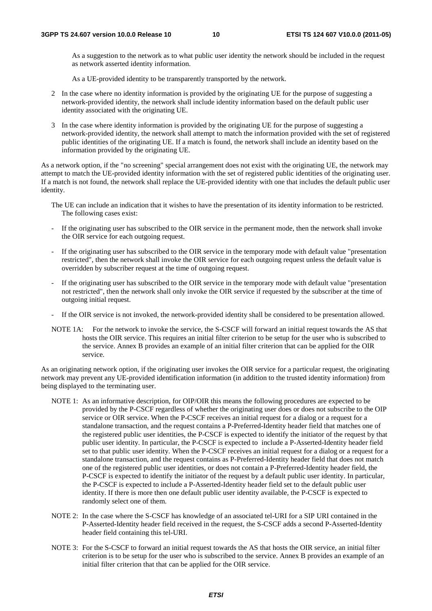As a suggestion to the network as to what public user identity the network should be included in the request as network asserted identity information.

As a UE-provided identity to be transparently transported by the network.

- 2 In the case where no identity information is provided by the originating UE for the purpose of suggesting a network-provided identity, the network shall include identity information based on the default public user identity associated with the originating UE.
- 3 In the case where identity information is provided by the originating UE for the purpose of suggesting a network-provided identity, the network shall attempt to match the information provided with the set of registered public identities of the originating UE. If a match is found, the network shall include an identity based on the information provided by the originating UE.

As a network option, if the "no screening" special arrangement does not exist with the originating UE, the network may attempt to match the UE-provided identity information with the set of registered public identities of the originating user. If a match is not found, the network shall replace the UE-provided identity with one that includes the default public user identity.

- The UE can include an indication that it wishes to have the presentation of its identity information to be restricted. The following cases exist:
- If the originating user has subscribed to the OIR service in the permanent mode, then the network shall invoke the OIR service for each outgoing request.
- If the originating user has subscribed to the OIR service in the temporary mode with default value "presentation restricted", then the network shall invoke the OIR service for each outgoing request unless the default value is overridden by subscriber request at the time of outgoing request.
- If the originating user has subscribed to the OIR service in the temporary mode with default value "presentation" not restricted", then the network shall only invoke the OIR service if requested by the subscriber at the time of outgoing initial request.
- If the OIR service is not invoked, the network-provided identity shall be considered to be presentation allowed.
- NOTE 1A: For the network to invoke the service, the S-CSCF will forward an initial request towards the AS that hosts the OIR service. This requires an initial filter criterion to be setup for the user who is subscribed to the service. Annex B provides an example of an initial filter criterion that can be applied for the OIR service.

As an originating network option, if the originating user invokes the OIR service for a particular request, the originating network may prevent any UE-provided identification information (in addition to the trusted identity information) from being displayed to the terminating user.

- NOTE 1: As an informative description, for OIP/OIR this means the following procedures are expected to be provided by the P-CSCF regardless of whether the originating user does or does not subscribe to the OIP service or OIR service. When the P-CSCF receives an initial request for a dialog or a request for a standalone transaction, and the request contains a P-Preferred-Identity header field that matches one of the registered public user identities, the P-CSCF is expected to identify the initiator of the request by that public user identity. In particular, the P-CSCF is expected to include a P-Asserted-Identity header field set to that public user identity. When the P-CSCF receives an initial request for a dialog or a request for a standalone transaction, and the request contains as P-Preferred-Identity header field that does not match one of the registered public user identities, or does not contain a P-Preferred-Identity header field, the P-CSCF is expected to identify the initiator of the request by a default public user identity. In particular, the P-CSCF is expected to include a P-Asserted-Identity header field set to the default public user identity. If there is more then one default public user identity available, the P-CSCF is expected to randomly select one of them.
- NOTE 2: In the case where the S-CSCF has knowledge of an associated tel-URI for a SIP URI contained in the P-Asserted-Identity header field received in the request, the S-CSCF adds a second P-Asserted-Identity header field containing this tel-URI.
- NOTE 3: For the S-CSCF to forward an initial request towards the AS that hosts the OIR service, an initial filter criterion is to be setup for the user who is subscribed to the service. Annex B provides an example of an initial filter criterion that that can be applied for the OIR service.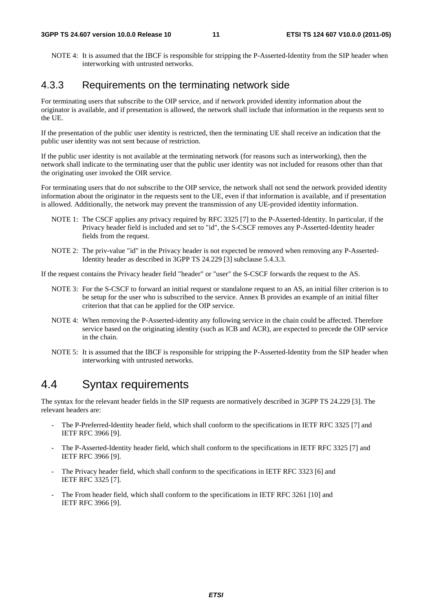NOTE 4: It is assumed that the IBCF is responsible for stripping the P-Asserted-Identity from the SIP header when interworking with untrusted networks.

#### 4.3.3 Requirements on the terminating network side

For terminating users that subscribe to the OIP service, and if network provided identity information about the originator is available, and if presentation is allowed, the network shall include that information in the requests sent to the UE.

If the presentation of the public user identity is restricted, then the terminating UE shall receive an indication that the public user identity was not sent because of restriction.

If the public user identity is not available at the terminating network (for reasons such as interworking), then the network shall indicate to the terminating user that the public user identity was not included for reasons other than that the originating user invoked the OIR service.

For terminating users that do not subscribe to the OIP service, the network shall not send the network provided identity information about the originator in the requests sent to the UE, even if that information is available, and if presentation is allowed. Additionally, the network may prevent the transmission of any UE-provided identity information.

- NOTE 1: The CSCF applies any privacy required by RFC 3325 [7] to the P-Asserted-Identity. In particular, if the Privacy header field is included and set to "id", the S-CSCF removes any P-Asserted-Identity header fields from the request.
- NOTE 2: The priv-value "id" in the Privacy header is not expected be removed when removing any P-Asserted-Identity header as described in 3GPP TS 24.229 [3] subclause 5.4.3.3.

If the request contains the Privacy header field "header" or "user" the S-CSCF forwards the request to the AS.

- NOTE 3: For the S-CSCF to forward an initial request or standalone request to an AS, an initial filter criterion is to be setup for the user who is subscribed to the service. Annex B provides an example of an initial filter criterion that that can be applied for the OIP service.
- NOTE 4: When removing the P-Asserted-identity any following service in the chain could be affected. Therefore service based on the originating identity (such as ICB and ACR), are expected to precede the OIP service in the chain.
- NOTE 5: It is assumed that the IBCF is responsible for stripping the P-Asserted-Identity from the SIP header when interworking with untrusted networks.

### 4.4 Syntax requirements

The syntax for the relevant header fields in the SIP requests are normatively described in 3GPP TS 24.229 [3]. The relevant headers are:

- The P-Preferred-Identity header field, which shall conform to the specifications in IETF RFC 3325 [7] and IETF RFC 3966 [9].
- The P-Asserted-Identity header field, which shall conform to the specifications in IETF RFC 3325 [7] and IETF RFC 3966 [9].
- The Privacy header field, which shall conform to the specifications in IETF RFC 3323 [6] and IETF RFC 3325 [7].
- The From header field, which shall conform to the specifications in IETF RFC 3261 [10] and IETF RFC 3966 [9].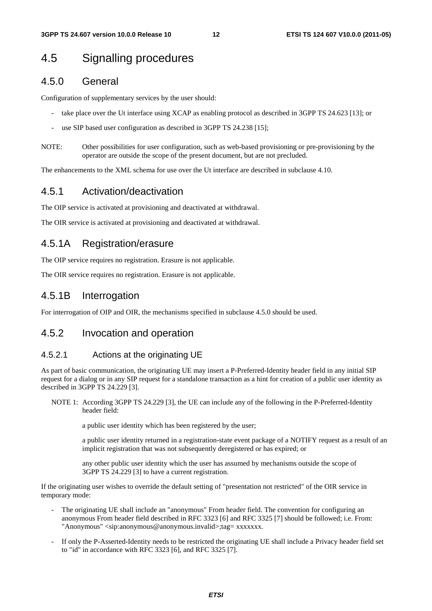### 4.5 Signalling procedures

#### 4.5.0 General

Configuration of supplementary services by the user should:

- take place over the Ut interface using XCAP as enabling protocol as described in 3GPP TS 24.623 [13]; or
- use SIP based user configuration as described in 3GPP TS 24.238 [15];
- NOTE: Other possibilities for user configuration, such as web-based provisioning or pre-provisioning by the operator are outside the scope of the present document, but are not precluded.

The enhancements to the XML schema for use over the Ut interface are described in subclause 4.10.

#### 4.5.1 Activation/deactivation

The OIP service is activated at provisioning and deactivated at withdrawal.

The OIR service is activated at provisioning and deactivated at withdrawal.

#### 4.5.1A Registration/erasure

The OIP service requires no registration. Erasure is not applicable.

The OIR service requires no registration. Erasure is not applicable.

#### 4.5.1B Interrogation

For interrogation of OIP and OIR, the mechanisms specified in subclause 4.5.0 should be used.

#### 4.5.2 Invocation and operation

#### 4.5.2.1 Actions at the originating UE

As part of basic communication, the originating UE may insert a P-Preferred-Identity header field in any initial SIP request for a dialog or in any SIP request for a standalone transaction as a hint for creation of a public user identity as described in 3GPP TS 24.229 [3].

NOTE 1: According 3GPP TS 24.229 [3], the UE can include any of the following in the P-Preferred-Identity header field:

a public user identity which has been registered by the user;

 a public user identity returned in a registration-state event package of a NOTIFY request as a result of an implicit registration that was not subsequently deregistered or has expired; or

 any other public user identity which the user has assumed by mechanisms outside the scope of 3GPP TS 24.229 [3] to have a current registration.

If the originating user wishes to override the default setting of "presentation not restricted" of the OIR service in temporary mode:

- The originating UE shall include an "anonymous" From header field. The convention for configuring an anonymous From header field described in RFC 3323 [6] and RFC 3325 [7] should be followed; i.e. From: "Anonymous" <sip:anonymous@anonymous.invalid>;tag= xxxxxxx.
- If only the P-Asserted-Identity needs to be restricted the originating UE shall include a Privacy header field set to "id" in accordance with RFC 3323 [6], and RFC 3325 [7].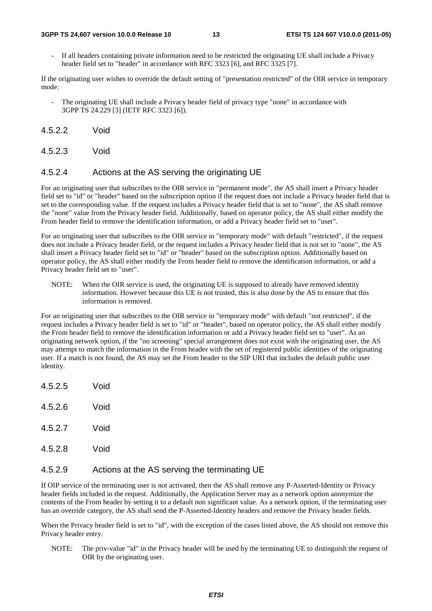#### **3GPP TS 24.607 version 10.0.0 Release 10 13 ETSI TS 124 607 V10.0.0 (2011-05)**

If all headers containing private information need to be restricted the originating UE shall include a Privacy header field set to "header" in accordance with RFC 3323 [6], and RFC 3325 [7].

If the originating user wishes to override the default setting of "presentation restricted" of the OIR service in temporary mode:

- The originating UE shall include a Privacy header field of privacy type "none" in accordance with 3GPP TS 24.229 [3] (IETF RFC 3323 [6]).
- 4.5.2.2 Void
- 4.5.2.3 Void

#### 4.5.2.4 Actions at the AS serving the originating UE

For an originating user that subscribes to the OIR service in "permanent mode", the AS shall insert a Privacy header field set to "id" or "header" based on the subscription option if the request does not include a Privacy header field that is set to the corresponding value. If the request includes a Privacy header field that is set to "none", the AS shall remove the "none" value from the Privacy header field. Additionally, based on operator policy, the AS shall either modify the From header field to remove the identification information, or add a Privacy header field set to "user".

For an originating user that subscribes to the OIR service in "temporary mode" with default "restricted", if the request does not include a Privacy header field, or the request includes a Privacy header field that is not set to "none", the AS shall insert a Privacy header field set to "id" or "header" based on the subscription option. Additionally based on operator policy, the AS shall either modify the From header field to remove the identification information, or add a Privacy header field set to "user".

NOTE: When the OIR service is used, the originating UE is supposed to already have removed identity information. However because this UE is not trusted, this is also done by the AS to ensure that this information is removed.

For an originating user that subscribes to the OIR service in "temporary mode" with default "not restricted", if the request includes a Privacy header field is set to "id" or "header", based on operator policy, the AS shall either modify the From header field to remove the identification information or add a Privacy header field set to "user". As an originating network option, if the "no screening" special arrangement does not exist with the originating user, the AS may attempt to match the information in the From header with the set of registered public identities of the originating user. If a match is not found, the AS may set the From header to the SIP URI that includes the default public user identity.

- 4.5.2.5 Void
- 4.5.2.6 Void
- 4.5.2.7 Void
- 4.5.2.8 Void

#### 4.5.2.9 Actions at the AS serving the terminating UE

If OIP service of the terminating user is not activated, then the AS shall remove any P-Asserted-Identity or Privacy header fields included in the request. Additionally, the Application Server may as a network option anonymize the contents of the From header by setting it to a default non significant value. As a network option, if the terminating user has an override category, the AS shall send the P-Asserted-Identity headers and remove the Privacy header fields.

When the Privacy header field is set to "id", with the exception of the cases listed above, the AS should not remove this Privacy header entry.

NOTE: The priv-value "id" in the Privacy header will be used by the terminating UE to distinguish the request of OIR by the originating user.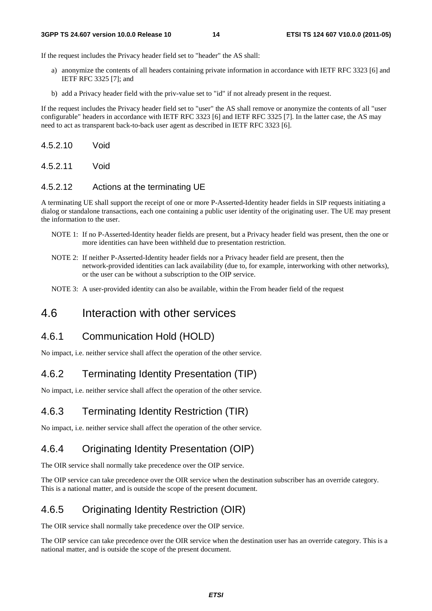#### **3GPP TS 24.607 version 10.0.0 Release 10 14 ETSI TS 124 607 V10.0.0 (2011-05)**

If the request includes the Privacy header field set to "header" the AS shall:

- a) anonymize the contents of all headers containing private information in accordance with IETF RFC 3323 [6] and IETF RFC 3325 [7]; and
- b) add a Privacy header field with the priv-value set to "id" if not already present in the request.

If the request includes the Privacy header field set to "user" the AS shall remove or anonymize the contents of all "user configurable" headers in accordance with IETF RFC 3323 [6] and IETF RFC 3325 [7]. In the latter case, the AS may need to act as transparent back-to-back user agent as described in IETF RFC 3323 [6].

4.5.2.10 Void

4.5.2.11 Void

#### 4.5.2.12 Actions at the terminating UE

A terminating UE shall support the receipt of one or more P-Asserted-Identity header fields in SIP requests initiating a dialog or standalone transactions, each one containing a public user identity of the originating user. The UE may present the information to the user.

- NOTE 1: If no P-Asserted-Identity header fields are present, but a Privacy header field was present, then the one or more identities can have been withheld due to presentation restriction.
- NOTE 2: If neither P-Asserted-Identity header fields nor a Privacy header field are present, then the network-provided identities can lack availability (due to, for example, interworking with other networks), or the user can be without a subscription to the OIP service.
- NOTE 3: A user-provided identity can also be available, within the From header field of the request

### 4.6 Interaction with other services

### 4.6.1 Communication Hold (HOLD)

No impact, i.e. neither service shall affect the operation of the other service.

### 4.6.2 Terminating Identity Presentation (TIP)

No impact, i.e. neither service shall affect the operation of the other service.

### 4.6.3 Terminating Identity Restriction (TIR)

No impact, i.e. neither service shall affect the operation of the other service.

### 4.6.4 Originating Identity Presentation (OIP)

The OIR service shall normally take precedence over the OIP service.

The OIP service can take precedence over the OIR service when the destination subscriber has an override category. This is a national matter, and is outside the scope of the present document.

### 4.6.5 Originating Identity Restriction (OIR)

The OIR service shall normally take precedence over the OIP service.

The OIP service can take precedence over the OIR service when the destination user has an override category. This is a national matter, and is outside the scope of the present document.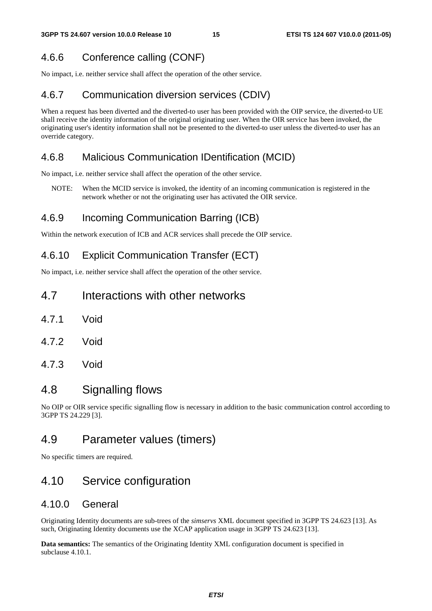### 4.6.6 Conference calling (CONF)

No impact, i.e. neither service shall affect the operation of the other service.

### 4.6.7 Communication diversion services (CDIV)

When a request has been diverted and the diverted-to user has been provided with the OIP service, the diverted-to UE shall receive the identity information of the original originating user. When the OIR service has been invoked, the originating user's identity information shall not be presented to the diverted-to user unless the diverted-to user has an override category.

### 4.6.8 Malicious Communication IDentification (MCID)

No impact, i.e. neither service shall affect the operation of the other service.

NOTE: When the MCID service is invoked, the identity of an incoming communication is registered in the network whether or not the originating user has activated the OIR service.

### 4.6.9 Incoming Communication Barring (ICB)

Within the network execution of ICB and ACR services shall precede the OIP service.

### 4.6.10 Explicit Communication Transfer (ECT)

No impact, i.e. neither service shall affect the operation of the other service.

### 4.7 Interactions with other networks

- 4.7.1 Void
- 4.7.2 Void
- 4.7.3 Void

### 4.8 Signalling flows

No OIP or OIR service specific signalling flow is necessary in addition to the basic communication control according to 3GPP TS 24.229 [3].

### 4.9 Parameter values (timers)

No specific timers are required.

### 4.10 Service configuration

#### 4.10.0 General

Originating Identity documents are sub-trees of the *simservs* XML document specified in 3GPP TS 24.623 [13]. As such, Originating Identity documents use the XCAP application usage in 3GPP TS 24.623 [13].

**Data semantics:** The semantics of the Originating Identity XML configuration document is specified in subclause 4.10.1.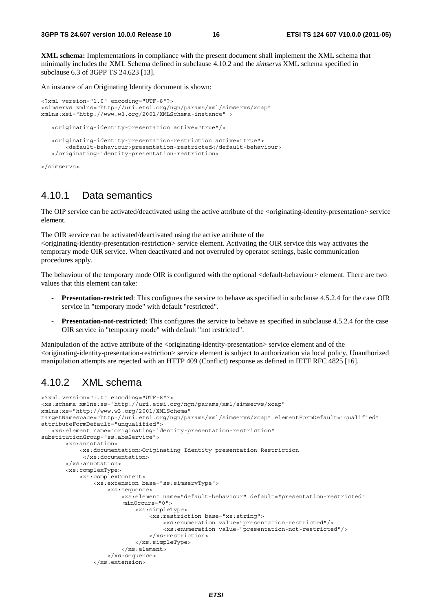**XML schema:** Implementations in compliance with the present document shall implement the XML schema that minimally includes the XML Schema defined in subclause 4.10.2 and the *simservs* XML schema specified in subclause 6.3 of 3GPP TS 24.623 [13].

An instance of an Originating Identity document is shown:

```
<?xml version="1.0" encoding="UTF-8"?> 
<simservs xmlns="http://uri.etsi.org/ngn/params/xml/simservs/xcap" 
xmlns:xsi="http://www.w3.org/2001/XMLSchema-instance" > 
    <originating-identity-presentation active="true"/> 
    <originating-identity-presentation-restriction active="true"> 
        <default-behaviour>presentation-restricted</default-behaviour> 
    </originating-identity-presentation-restriction> 
</simservs>
```
4.10.1 Data semantics

The OIP service can be activated/deactivated using the active attribute of the <originating-identity-presentation> service element.

The OIR service can be activated/deactivated using the active attribute of the <originating-identity-presentation-restriction> service element. Activating the OIR service this way activates the temporary mode OIR service. When deactivated and not overruled by operator settings, basic communication procedures apply.

The behaviour of the temporary mode OIR is configured with the optional <default-behaviour> element. There are two values that this element can take:

- **Presentation-restricted**: This configures the service to behave as specified in subclause 4.5.2.4 for the case OIR service in "temporary mode" with default "restricted".
- **Presentation-not-restricted**: This configures the service to behave as specified in subclause 4.5.2.4 for the case OIR service in "temporary mode" with default "not restricted".

Manipulation of the active attribute of the <originating-identity-presentation> service element and of the <originating-identity-presentation-restriction> service element is subject to authorization via local policy. Unauthorized manipulation attempts are rejected with an HTTP 409 (Conflict) response as defined in IETF RFC 4825 [16].

#### 4.10.2 XML schema

```
<?xml version="1.0" encoding="UTF-8"?> 
<xs:schema xmlns:ss="http://uri.etsi.org/ngn/params/xml/simservs/xcap" 
xmlns:xs="http://www.w3.org/2001/XMLSchema" 
targetNamespace="http://uri.etsi.org/ngn/params/xml/simservs/xcap" elementFormDefault="qualified" 
attributeFormDefault="unqualified"> 
    <xs:element name="originating-identity-presentation-restriction" 
substitutionGroup="ss:absService"> 
        <xs:annotation> 
            <xs:documentation>Originating Identity presentation Restriction 
             </xs:documentation> 
        </xs:annotation> 
        <xs:complexType> 
            <xs:complexContent> 
                 <xs:extension base="ss:simservType"> 
                     <xs:sequence> 
                         <xs:element name="default-behaviour" default="presentation-restricted" 
                         minOccurs="0"> 
                             <xs:simpleType> 
                                  <xs:restriction base="xs:string"> 
                                      <xs:enumeration value="presentation-restricted"/> 
                                      <xs:enumeration value="presentation-not-restricted"/> 
                                 </xs:restriction> 
                             </xs:simpleType> 
                         </xs:element> 
                     </xs:sequence> 
                 </xs:extension>
```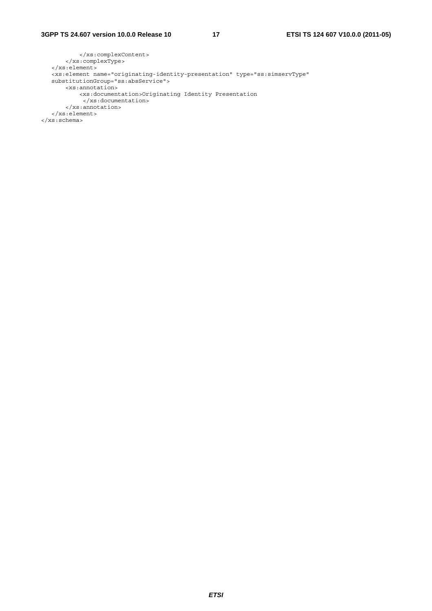```
 </xs:complexContent> 
        </xs:complexType> 
    </xs:element> 
 <xs:element name="originating-identity-presentation" type="ss:simservType" 
   substitutionGroup="ss:absService"> 
       <xs:annotation> 
            <xs:documentation>Originating Identity Presentation 
            </xs:documentation> 
        </xs:annotation> 
    </xs:element> 
</xs:schema>
```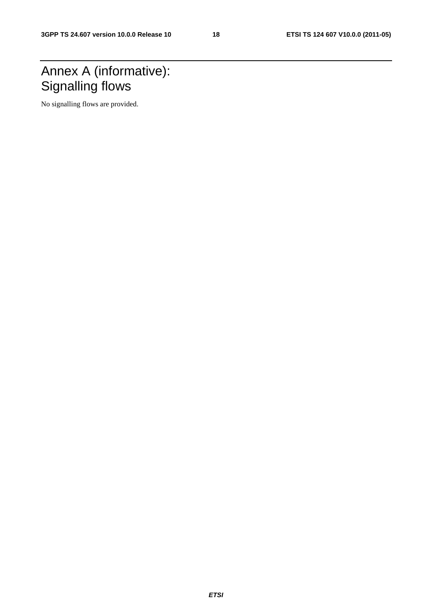### Annex A (informative): Signalling flows

No signalling flows are provided.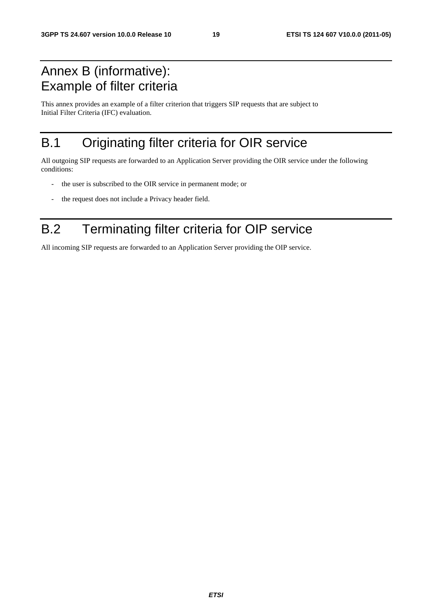### Annex B (informative): Example of filter criteria

This annex provides an example of a filter criterion that triggers SIP requests that are subject to Initial Filter Criteria (IFC) evaluation.

### B.1 Originating filter criteria for OIR service

All outgoing SIP requests are forwarded to an Application Server providing the OIR service under the following conditions:

- the user is subscribed to the OIR service in permanent mode; or
- the request does not include a Privacy header field.

### B.2 Terminating filter criteria for OIP service

All incoming SIP requests are forwarded to an Application Server providing the OIP service.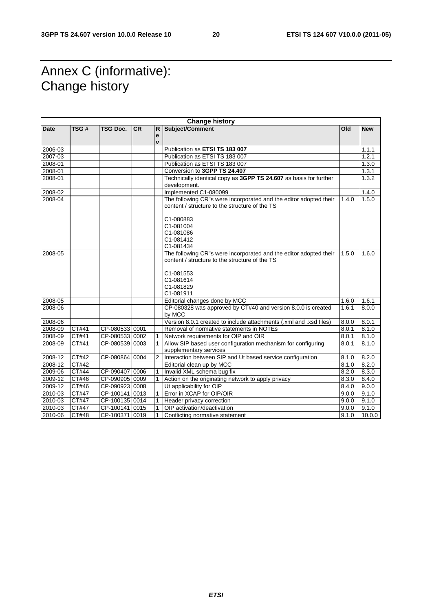### Annex C (informative): Change history

| <b>Change history</b> |       |                |           |                |                                                                                                                                                                         |       |            |
|-----------------------|-------|----------------|-----------|----------------|-------------------------------------------------------------------------------------------------------------------------------------------------------------------------|-------|------------|
| Date                  | TSG#  | TSG Doc.       | <b>CR</b> | R              | Subject/Comment                                                                                                                                                         | Old   | <b>New</b> |
|                       |       |                |           | е<br>v         |                                                                                                                                                                         |       |            |
| 2006-03               |       |                |           |                | Publication as ETSI TS 183 007                                                                                                                                          |       | 1.1.1      |
| 2007-03               |       |                |           |                | Publication as ETSI TS 183 007                                                                                                                                          |       | 1.2.1      |
| 2008-01               |       |                |           |                | Publication as ETSI TS 183 007                                                                                                                                          |       | 1.3.0      |
| 2008-01               |       |                |           |                | Conversion to 3GPP TS 24.407                                                                                                                                            |       | 1.3.1      |
| 2008-01               |       |                |           |                | Technically identical copy as 3GPP TS 24.607 as basis for further                                                                                                       |       | 1.3.2      |
|                       |       |                |           |                | development.                                                                                                                                                            |       |            |
| 2008-02               |       |                |           |                | Implemented C1-080099                                                                                                                                                   |       | 1.4.0      |
| 2008-04               |       |                |           |                | The following CR"s were incorporated and the editor adopted their<br>content / structure to the structure of the TS<br>C1-080883                                        | 1.4.0 | 1.5.0      |
|                       |       |                |           |                | C1-081004<br>C1-081086<br>C1-081412<br>C1-081434                                                                                                                        |       |            |
| 2008-05               |       |                |           |                | The following CR"s were incorporated and the editor adopted their<br>content / structure to the structure of the TS<br>C1-081553<br>C1-081614<br>C1-081829<br>C1-081911 | 1.5.0 | 1.6.0      |
| 2008-05               |       |                |           |                | Editorial changes done by MCC                                                                                                                                           | 1.6.0 | 1.6.1      |
| 2008-06               |       |                |           |                | CP-080328 was approved by CT#40 and version 8.0.0 is created<br>by MCC                                                                                                  | 1.6.1 | 8.0.0      |
| 2008-06               |       |                |           |                | Version 8.0.1 created to include attachments (.xml and .xsd files)                                                                                                      | 8.0.0 | 8.0.1      |
| 2008-09               | CT#41 | CP-080533 0001 |           |                | Removal of normative statements in NOTEs                                                                                                                                | 8.0.1 | 8.1.0      |
| 2008-09               | CT#41 | CP-080533 0002 |           |                | Network requirements for OIP and OIR                                                                                                                                    | 8.0.1 | 8.1.0      |
| 2008-09               | CT#41 | CP-080539 0003 |           | 1              | Allow SIP based user configuration mechanism for configuring<br>supplementary services                                                                                  | 8.0.1 | 8.1.0      |
| 2008-12               | CT#42 | CP-080864 0004 |           | $\overline{2}$ | Interaction between SIP and Ut based service configuration                                                                                                              | 8.1.0 | 8.2.0      |
| 2008-12               | CT#42 |                |           |                | Editorial clean up by MCC                                                                                                                                               | 8.1.0 | 8.2.0      |
| 2009-06               | CT#44 | CP-090407 0006 |           |                | Invalid XML schema bug fix                                                                                                                                              | 8.2.0 | 8.3.0      |
| 2009-12               | CT#46 | CP-090905 0009 |           |                | Action on the originating network to apply privacy                                                                                                                      | 8.3.0 | 8.4.0      |
| 2009-12               | CT#46 | CP-090923 0008 |           |                | Ut applicability for OIP                                                                                                                                                | 8.4.0 | 9.0.0      |
| 2010-03               | CT#47 | CP-100141 0013 |           |                | Error in XCAP for OIP/OIR                                                                                                                                               | 9.0.0 | 9.1.0      |
| 2010-03               | CT#47 | CP-100135 0014 |           |                | Header privacy correction                                                                                                                                               | 9.0.0 | 9.1.0      |
| 2010-03               | CT#47 | CP-100141 0015 |           |                | OIP activation/deactivation                                                                                                                                             | 9.0.0 | 9.1.0      |
| 2010-06               | CT#48 | CP-100371 0019 |           |                | Conflicting normative statement                                                                                                                                         | 9.1.0 | 10.0.0     |